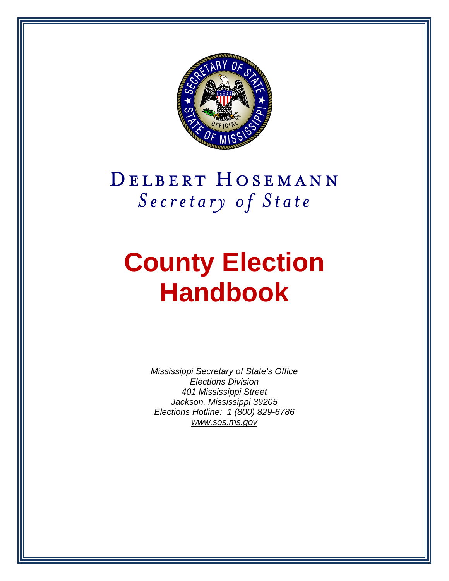

# DELBERT HOSEMANN Secretary of State

# **County Election Handbook**

*Mississippi Secretary of State's Office Elections Division 401 Mississippi Street Jackson, Mississippi 39205 Elections Hotline: 1 (800) 829-6786 [www.sos.ms.gov](http://www.sos.ms.gov/)*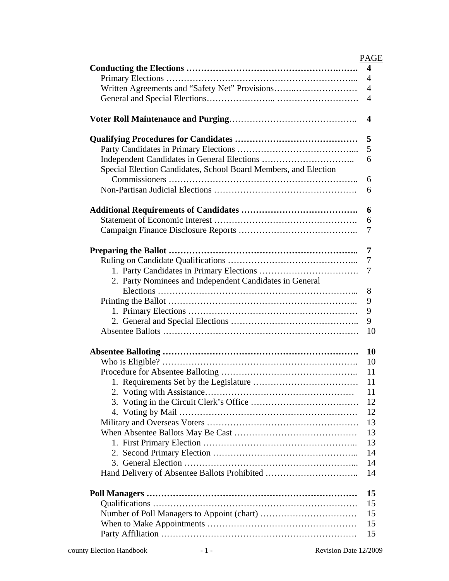|                                                                 | <b>PAGE</b>             |
|-----------------------------------------------------------------|-------------------------|
|                                                                 | $\overline{\mathbf{4}}$ |
|                                                                 | 4                       |
|                                                                 | 4                       |
|                                                                 | 4                       |
|                                                                 |                         |
|                                                                 | 4                       |
|                                                                 | 5                       |
|                                                                 | 5                       |
|                                                                 | 6                       |
| Special Election Candidates, School Board Members, and Election |                         |
|                                                                 | 6                       |
|                                                                 | 6                       |
|                                                                 |                         |
|                                                                 | 6                       |
|                                                                 | 6                       |
|                                                                 | 7                       |
|                                                                 |                         |
|                                                                 | 7                       |
|                                                                 | 7                       |
|                                                                 | 7                       |
| 2. Party Nominees and Independent Candidates in General         |                         |
|                                                                 | 8                       |
|                                                                 | 9                       |
|                                                                 | 9                       |
|                                                                 | 9                       |
|                                                                 | 10                      |
|                                                                 |                         |
|                                                                 | 10                      |
|                                                                 | 10                      |
|                                                                 | 11                      |
|                                                                 | 11                      |
|                                                                 | 11                      |
|                                                                 | 12                      |
|                                                                 | 12                      |
|                                                                 | 13                      |
|                                                                 | 13                      |
|                                                                 | 13                      |
|                                                                 | 14                      |
|                                                                 | 14                      |
|                                                                 | 14                      |
|                                                                 |                         |
|                                                                 | 15                      |
|                                                                 | 15                      |
|                                                                 | 15                      |
|                                                                 | 15                      |
|                                                                 | 15                      |
|                                                                 |                         |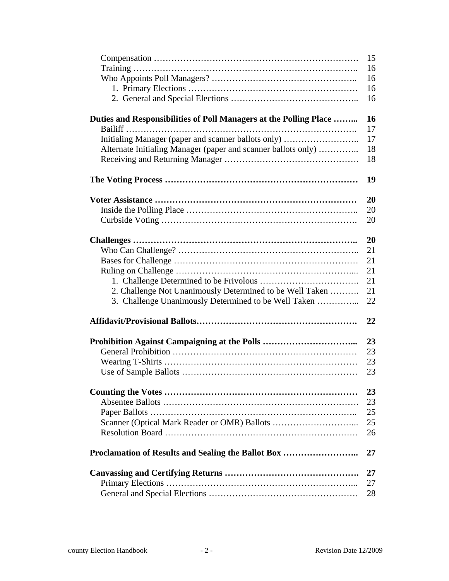|                                                                   | 15 |
|-------------------------------------------------------------------|----|
|                                                                   | 16 |
|                                                                   | 16 |
|                                                                   | 16 |
|                                                                   | 16 |
| Duties and Responsibilities of Poll Managers at the Polling Place | 16 |
|                                                                   | 17 |
| Initialing Manager (paper and scanner ballots only)               | 17 |
| Alternate Initialing Manager (paper and scanner ballots only)     | 18 |
|                                                                   | 18 |
|                                                                   | 19 |
|                                                                   | 20 |
|                                                                   | 20 |
|                                                                   | 20 |
|                                                                   |    |
|                                                                   | 20 |
|                                                                   | 21 |
|                                                                   | 21 |
|                                                                   | 21 |
|                                                                   | 21 |
| 2. Challenge Not Unanimously Determined to be Well Taken          | 21 |
| 3. Challenge Unanimously Determined to be Well Taken              | 22 |
|                                                                   | 22 |
|                                                                   | 23 |
|                                                                   | 23 |
|                                                                   | 23 |
|                                                                   | 23 |
|                                                                   | 23 |
|                                                                   | 23 |
|                                                                   | 25 |
|                                                                   | 25 |
|                                                                   | 26 |
|                                                                   |    |
| Proclamation of Results and Sealing the Ballot Box                | 27 |
|                                                                   | 27 |
|                                                                   | 27 |
|                                                                   | 28 |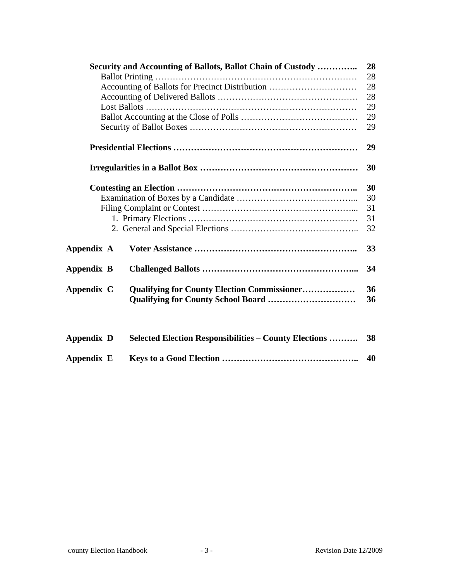|                                                 | Security and Accounting of Ballots, Ballot Chain of Custody   | 28       |  |  |  |
|-------------------------------------------------|---------------------------------------------------------------|----------|--|--|--|
|                                                 |                                                               | 28       |  |  |  |
| Accounting of Ballots for Precinct Distribution |                                                               |          |  |  |  |
|                                                 |                                                               |          |  |  |  |
|                                                 |                                                               |          |  |  |  |
|                                                 |                                                               | 29       |  |  |  |
|                                                 |                                                               |          |  |  |  |
|                                                 |                                                               | 29       |  |  |  |
|                                                 |                                                               | 30       |  |  |  |
|                                                 |                                                               | 30       |  |  |  |
|                                                 |                                                               | 30       |  |  |  |
|                                                 |                                                               | 31       |  |  |  |
|                                                 |                                                               | 31       |  |  |  |
|                                                 |                                                               | 32       |  |  |  |
| Appendix A                                      |                                                               | 33       |  |  |  |
| Appendix B                                      |                                                               | 34       |  |  |  |
| Appendix C                                      | <b>Qualifying for County Election Commissioner</b>            | 36<br>36 |  |  |  |
| Appendix D                                      | <b>Selected Election Responsibilities – County Elections </b> | 38       |  |  |  |

**Appendix E Keys to a Good Election ……………………………………….. 40**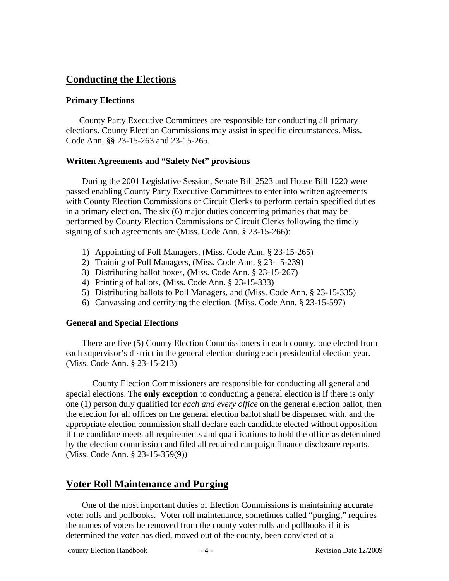# **Conducting the Elections**

#### **Primary Elections**

County Party Executive Committees are responsible for conducting all primary elections. County Election Commissions may assist in specific circumstances. Miss. Code Ann. §§ 23-15-263 and 23-15-265.

#### **Written Agreements and "Safety Net" provisions**

During the 2001 Legislative Session, Senate Bill 2523 and House Bill 1220 were passed enabling County Party Executive Committees to enter into written agreements with County Election Commissions or Circuit Clerks to perform certain specified duties in a primary election. The six (6) major duties concerning primaries that may be performed by County Election Commissions or Circuit Clerks following the timely signing of such agreements are (Miss. Code Ann. § 23-15-266):

- 1) Appointing of Poll Managers, (Miss. Code Ann. § 23-15-265)
- 2) Training of Poll Managers, (Miss. Code Ann. § 23-15-239)
- 3) Distributing ballot boxes, (Miss. Code Ann. § 23-15-267)
- 4) Printing of ballots, (Miss. Code Ann. § 23-15-333)
- 5) Distributing ballots to Poll Managers, and (Miss. Code Ann. § 23-15-335)
- 6) Canvassing and certifying the election. (Miss. Code Ann. § 23-15-597)

#### **General and Special Elections**

There are five (5) County Election Commissioners in each county, one elected from each supervisor's district in the general election during each presidential election year. (Miss. Code Ann. § 23-15-213)

County Election Commissioners are responsible for conducting all general and special elections. The **only exception** to conducting a general election is if there is only one (1) person duly qualified for *each and every office* on the general election ballot, then the election for all offices on the general election ballot shall be dispensed with, and the appropriate election commission shall declare each candidate elected without opposition if the candidate meets all requirements and qualifications to hold the office as determined by the election commission and filed all required campaign finance disclosure reports. (Miss. Code Ann. § 23-15-359(9))

# **Voter Roll Maintenance and Purging**

One of the most important duties of Election Commissions is maintaining accurate voter rolls and pollbooks. Voter roll maintenance, sometimes called "purging," requires the names of voters be removed from the county voter rolls and pollbooks if it is determined the voter has died, moved out of the county, been convicted of a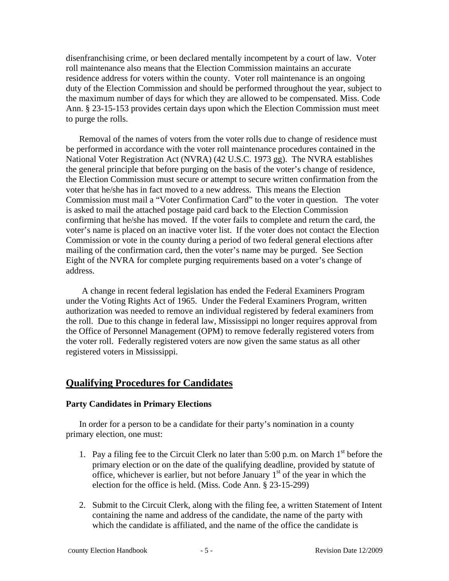disenfranchising crime, or been declared mentally incompetent by a court of law. Voter roll maintenance also means that the Election Commission maintains an accurate residence address for voters within the county. Voter roll maintenance is an ongoing duty of the Election Commission and should be performed throughout the year, subject to the maximum number of days for which they are allowed to be compensated. Miss. Code Ann. § 23-15-153 provides certain days upon which the Election Commission must meet to purge the rolls.

Removal of the names of voters from the voter rolls due to change of residence must be performed in accordance with the voter roll maintenance procedures contained in the National Voter Registration Act (NVRA) (42 U.S.C. 1973 gg). The NVRA establishes the general principle that before purging on the basis of the voter's change of residence, the Election Commission must secure or attempt to secure written confirmation from the voter that he/she has in fact moved to a new address. This means the Election Commission must mail a "Voter Confirmation Card" to the voter in question. The voter is asked to mail the attached postage paid card back to the Election Commission confirming that he/she has moved. If the voter fails to complete and return the card, the voter's name is placed on an inactive voter list. If the voter does not contact the Election Commission or vote in the county during a period of two federal general elections after mailing of the confirmation card, then the voter's name may be purged. See Section Eight of the NVRA for complete purging requirements based on a voter's change of address.

A change in recent federal legislation has ended the Federal Examiners Program under the Voting Rights Act of 1965. Under the Federal Examiners Program, written authorization was needed to remove an individual registered by federal examiners from the roll. Due to this change in federal law, Mississippi no longer requires approval from the Office of Personnel Management (OPM) to remove federally registered voters from the voter roll. Federally registered voters are now given the same status as all other registered voters in Mississippi.

# **Qualifying Procedures for Candidates**

#### **Party Candidates in Primary Elections**

In order for a person to be a candidate for their party's nomination in a county primary election, one must:

- 1. Pay a filing fee to the Circuit Clerk no later than  $5:00$  p.m. on March  $1<sup>st</sup>$  before the primary election or on the date of the qualifying deadline, provided by statute of office, whichever is earlier, but not before January  $1<sup>st</sup>$  of the year in which the election for the office is held. (Miss. Code Ann. § 23-15-299)
- 2. Submit to the Circuit Clerk, along with the filing fee, a written Statement of Intent containing the name and address of the candidate, the name of the party with which the candidate is affiliated, and the name of the office the candidate is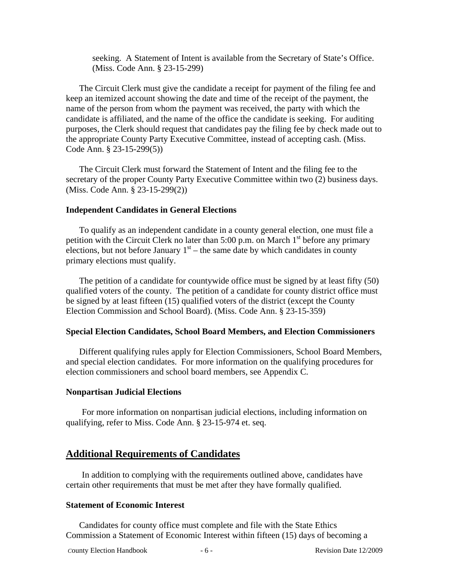seeking. A Statement of Intent is available from the Secretary of State's Office. (Miss. Code Ann. § 23-15-299)

The Circuit Clerk must give the candidate a receipt for payment of the filing fee and keep an itemized account showing the date and time of the receipt of the payment, the name of the person from whom the payment was received, the party with which the candidate is affiliated, and the name of the office the candidate is seeking. For auditing purposes, the Clerk should request that candidates pay the filing fee by check made out to the appropriate County Party Executive Committee, instead of accepting cash. (Miss. Code Ann. § 23-15-299(5))

The Circuit Clerk must forward the Statement of Intent and the filing fee to the secretary of the proper County Party Executive Committee within two (2) business days. (Miss. Code Ann. § 23-15-299(2))

#### **Independent Candidates in General Elections**

To qualify as an independent candidate in a county general election, one must file a petition with the Circuit Clerk no later than 5:00 p.m. on March  $1<sup>st</sup>$  before any primary elections, but not before January  $1<sup>st</sup>$  – the same date by which candidates in county primary elections must qualify.

The petition of a candidate for countywide office must be signed by at least fifty (50) qualified voters of the county. The petition of a candidate for county district office must be signed by at least fifteen (15) qualified voters of the district (except the County Election Commission and School Board). (Miss. Code Ann. § 23-15-359)

#### **Special Election Candidates, School Board Members, and Election Commissioners**

Different qualifying rules apply for Election Commissioners, School Board Members, and special election candidates. For more information on the qualifying procedures for election commissioners and school board members, see Appendix C.

#### **Nonpartisan Judicial Elections**

For more information on nonpartisan judicial elections, including information on qualifying, refer to Miss. Code Ann. § 23-15-974 et. seq.

#### **Additional Requirements of Candidates**

In addition to complying with the requirements outlined above, candidates have certain other requirements that must be met after they have formally qualified.

#### **Statement of Economic Interest**

Candidates for county office must complete and file with the State Ethics Commission a Statement of Economic Interest within fifteen (15) days of becoming a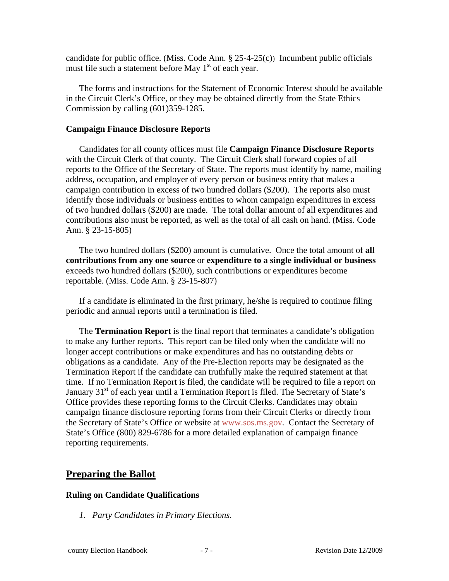candidate for public office. (Miss. Code Ann.  $\S 25-4-25(c)$ ) Incumbent public officials must file such a statement before May  $1<sup>st</sup>$  of each year.

The forms and instructions for the Statement of Economic Interest should be available in the Circuit Clerk's Office, or they may be obtained directly from the State Ethics Commission by calling (601)359-1285.

#### **Campaign Finance Disclosure Reports**

Candidates for all county offices must file **Campaign Finance Disclosure Reports** with the Circuit Clerk of that county. The Circuit Clerk shall forward copies of all reports to the Office of the Secretary of State. The reports must identify by name, mailing address, occupation, and employer of every person or business entity that makes a campaign contribution in excess of two hundred dollars (\$200). The reports also must identify those individuals or business entities to whom campaign expenditures in excess of two hundred dollars (\$200) are made. The total dollar amount of all expenditures and contributions also must be reported, as well as the total of all cash on hand. (Miss. Code Ann. § 23-15-805)

The two hundred dollars (\$200) amount is cumulative. Once the total amount of **all contributions from any one source** or **expenditure to a single individual or business** exceeds two hundred dollars (\$200), such contributions or expenditures become reportable. (Miss. Code Ann. § 23-15-807)

If a candidate is eliminated in the first primary, he/she is required to continue filing periodic and annual reports until a termination is filed.

The **Termination Report** is the final report that terminates a candidate's obligation to make any further reports. This report can be filed only when the candidate will no longer accept contributions or make expenditures and has no outstanding debts or obligations as a candidate. Any of the Pre-Election reports may be designated as the Termination Report if the candidate can truthfully make the required statement at that time. If no Termination Report is filed, the candidate will be required to file a report on January  $31<sup>st</sup>$  of each year until a Termination Report is filed. The Secretary of State's Office provides these reporting forms to the Circuit Clerks. Candidates may obtain campaign finance disclosure reporting forms from their Circuit Clerks or directly from the Secretary of State's Office or website at www.sos.ms.gov. Contact the Secretary of State's Office (800) 829-6786 for a more detailed explanation of campaign finance reporting requirements.

# **Preparing the Ballot**

#### **Ruling on Candidate Qualifications**

*1. Party Candidates in Primary Elections.*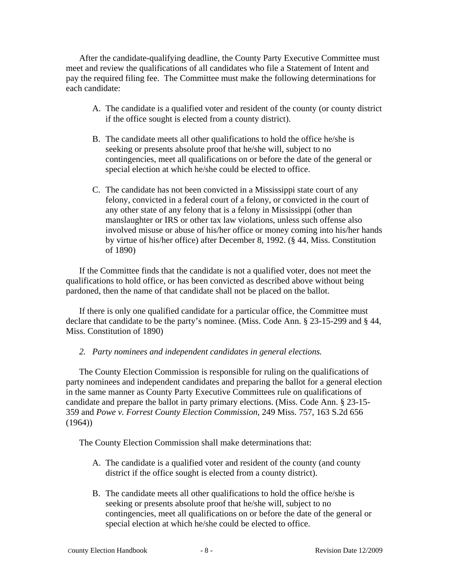After the candidate-qualifying deadline, the County Party Executive Committee must meet and review the qualifications of all candidates who file a Statement of Intent and pay the required filing fee. The Committee must make the following determinations for each candidate:

- A. The candidate is a qualified voter and resident of the county (or county district if the office sought is elected from a county district).
- B. The candidate meets all other qualifications to hold the office he/she is seeking or presents absolute proof that he/she will, subject to no contingencies, meet all qualifications on or before the date of the general or special election at which he/she could be elected to office.
- C. The candidate has not been convicted in a Mississippi state court of any felony, convicted in a federal court of a felony, or convicted in the court of any other state of any felony that is a felony in Mississippi (other than manslaughter or IRS or other tax law violations, unless such offense also involved misuse or abuse of his/her office or money coming into his/her hands by virtue of his/her office) after December 8, 1992. (§ 44, Miss. Constitution of 1890)

If the Committee finds that the candidate is not a qualified voter, does not meet the qualifications to hold office, or has been convicted as described above without being pardoned, then the name of that candidate shall not be placed on the ballot.

If there is only one qualified candidate for a particular office, the Committee must declare that candidate to be the party's nominee. (Miss. Code Ann. § 23-15-299 and § 44, Miss. Constitution of 1890)

#### *2. Party nominees and independent candidates in general elections.*

The County Election Commission is responsible for ruling on the qualifications of party nominees and independent candidates and preparing the ballot for a general election in the same manner as County Party Executive Committees rule on qualifications of candidate and prepare the ballot in party primary elections. (Miss. Code Ann. § 23-15- 359 and *Powe v. Forrest County Election Commission,* 249 Miss. 757, 163 S.2d 656 (1964))

The County Election Commission shall make determinations that:

- A. The candidate is a qualified voter and resident of the county (and county district if the office sought is elected from a county district).
- B. The candidate meets all other qualifications to hold the office he/she is seeking or presents absolute proof that he/she will, subject to no contingencies, meet all qualifications on or before the date of the general or special election at which he/she could be elected to office.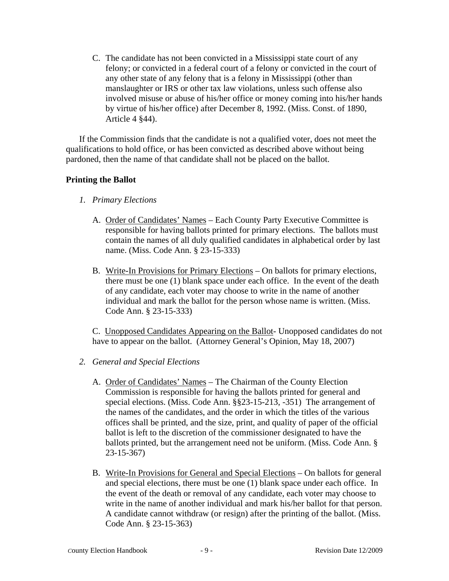C. The candidate has not been convicted in a Mississippi state court of any felony; or convicted in a federal court of a felony or convicted in the court of any other state of any felony that is a felony in Mississippi (other than manslaughter or IRS or other tax law violations, unless such offense also involved misuse or abuse of his/her office or money coming into his/her hands by virtue of his/her office) after December 8, 1992. (Miss. Const. of 1890, Article 4 §44).

If the Commission finds that the candidate is not a qualified voter, does not meet the qualifications to hold office, or has been convicted as described above without being pardoned, then the name of that candidate shall not be placed on the ballot.

#### **Printing the Ballot**

- *1. Primary Elections* 
	- A. Order of Candidates' Names Each County Party Executive Committee is responsible for having ballots printed for primary elections. The ballots must contain the names of all duly qualified candidates in alphabetical order by last name. (Miss. Code Ann. § 23-15-333)
	- B. Write-In Provisions for Primary Elections On ballots for primary elections, there must be one (1) blank space under each office. In the event of the death of any candidate, each voter may choose to write in the name of another individual and mark the ballot for the person whose name is written. (Miss. Code Ann. § 23-15-333)

C. Unopposed Candidates Appearing on the Ballot- Unopposed candidates do not have to appear on the ballot. (Attorney General's Opinion, May 18, 2007)

- *2. General and Special Elections* 
	- A. Order of Candidates' Names The Chairman of the County Election Commission is responsible for having the ballots printed for general and special elections. (Miss. Code Ann. §§23-15-213, -351) The arrangement of the names of the candidates, and the order in which the titles of the various offices shall be printed, and the size, print, and quality of paper of the official ballot is left to the discretion of the commissioner designated to have the ballots printed, but the arrangement need not be uniform. (Miss. Code Ann. § 23-15-367)
	- B. Write-In Provisions for General and Special Elections On ballots for general and special elections, there must be one (1) blank space under each office. In the event of the death or removal of any candidate, each voter may choose to write in the name of another individual and mark his/her ballot for that person. A candidate cannot withdraw (or resign) after the printing of the ballot. (Miss. Code Ann. § 23-15-363)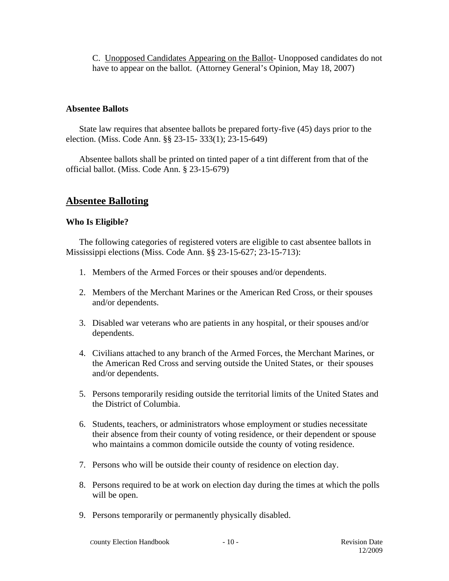C. Unopposed Candidates Appearing on the Ballot- Unopposed candidates do not have to appear on the ballot. (Attorney General's Opinion, May 18, 2007)

#### **Absentee Ballots**

State law requires that absentee ballots be prepared forty-five (45) days prior to the election. (Miss. Code Ann. §§ 23-15- 333(1); 23-15-649)

Absentee ballots shall be printed on tinted paper of a tint different from that of the official ballot. (Miss. Code Ann. § 23-15-679)

# **Absentee Balloting**

#### **Who Is Eligible?**

The following categories of registered voters are eligible to cast absentee ballots in Mississippi elections (Miss. Code Ann. §§ 23-15-627; 23-15-713):

- 1. Members of the Armed Forces or their spouses and/or dependents.
- 2. Members of the Merchant Marines or the American Red Cross, or their spouses and/or dependents.
- 3. Disabled war veterans who are patients in any hospital, or their spouses and/or dependents.
- 4. Civilians attached to any branch of the Armed Forces, the Merchant Marines, or the American Red Cross and serving outside the United States, or their spouses and/or dependents.
- 5. Persons temporarily residing outside the territorial limits of the United States and the District of Columbia.
- 6. Students, teachers, or administrators whose employment or studies necessitate their absence from their county of voting residence, or their dependent or spouse who maintains a common domicile outside the county of voting residence.
- 7. Persons who will be outside their county of residence on election day.
- 8. Persons required to be at work on election day during the times at which the polls will be open.
- 9. Persons temporarily or permanently physically disabled.

**County Election Handbook - 10 - Revision Date**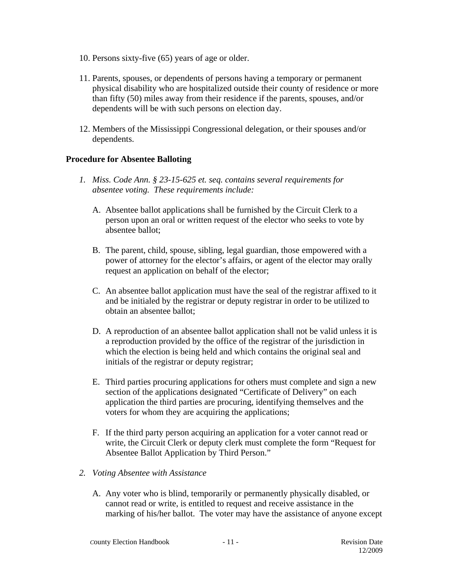- 10. Persons sixty-five (65) years of age or older.
- 11. Parents, spouses, or dependents of persons having a temporary or permanent physical disability who are hospitalized outside their county of residence or more than fifty (50) miles away from their residence if the parents, spouses, and/or dependents will be with such persons on election day.
- 12. Members of the Mississippi Congressional delegation, or their spouses and/or dependents.

# **Procedure for Absentee Balloting**

- *1. Miss. Code Ann. § 23-15-625 et. seq. contains several requirements for absentee voting. These requirements include:* 
	- A. Absentee ballot applications shall be furnished by the Circuit Clerk to a person upon an oral or written request of the elector who seeks to vote by absentee ballot;
	- B. The parent, child, spouse, sibling, legal guardian, those empowered with a power of attorney for the elector's affairs, or agent of the elector may orally request an application on behalf of the elector;
	- C. An absentee ballot application must have the seal of the registrar affixed to it and be initialed by the registrar or deputy registrar in order to be utilized to obtain an absentee ballot;
	- D. A reproduction of an absentee ballot application shall not be valid unless it is a reproduction provided by the office of the registrar of the jurisdiction in which the election is being held and which contains the original seal and initials of the registrar or deputy registrar;
	- E. Third parties procuring applications for others must complete and sign a new section of the applications designated "Certificate of Delivery" on each application the third parties are procuring, identifying themselves and the voters for whom they are acquiring the applications;
	- F. If the third party person acquiring an application for a voter cannot read or write, the Circuit Clerk or deputy clerk must complete the form "Request for Absentee Ballot Application by Third Person."

#### *2. Voting Absentee with Assistance*

A. Any voter who is blind, temporarily or permanently physically disabled, or cannot read or write, is entitled to request and receive assistance in the marking of his/her ballot. The voter may have the assistance of anyone except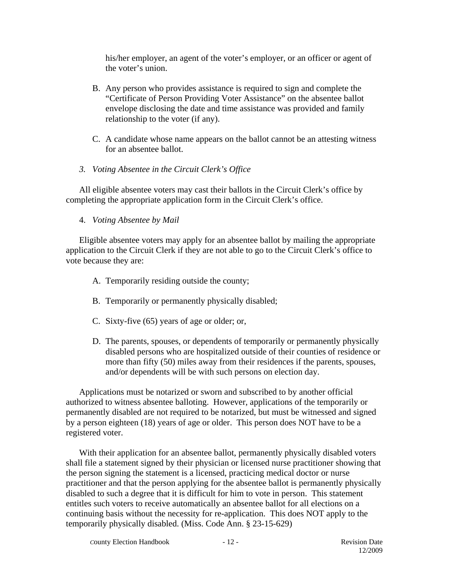his/her employer, an agent of the voter's employer, or an officer or agent of the voter's union.

- B. Any person who provides assistance is required to sign and complete the "Certificate of Person Providing Voter Assistance" on the absentee ballot envelope disclosing the date and time assistance was provided and family relationship to the voter (if any).
- C. A candidate whose name appears on the ballot cannot be an attesting witness for an absentee ballot.
- *3. Voting Absentee in the Circuit Clerk's Office*

All eligible absentee voters may cast their ballots in the Circuit Clerk's office by completing the appropriate application form in the Circuit Clerk's office.

4. *Voting Absentee by Mail*

Eligible absentee voters may apply for an absentee ballot by mailing the appropriate application to the Circuit Clerk if they are not able to go to the Circuit Clerk's office to vote because they are:

- A. Temporarily residing outside the county;
- B. Temporarily or permanently physically disabled;
- C. Sixty-five (65) years of age or older; or,
- D. The parents, spouses, or dependents of temporarily or permanently physically disabled persons who are hospitalized outside of their counties of residence or more than fifty (50) miles away from their residences if the parents, spouses, and/or dependents will be with such persons on election day.

Applications must be notarized or sworn and subscribed to by another official authorized to witness absentee balloting. However, applications of the temporarily or permanently disabled are not required to be notarized, but must be witnessed and signed by a person eighteen (18) years of age or older. This person does NOT have to be a registered voter.

With their application for an absentee ballot, permanently physically disabled voters shall file a statement signed by their physician or licensed nurse practitioner showing that the person signing the statement is a licensed, practicing medical doctor or nurse practitioner and that the person applying for the absentee ballot is permanently physically disabled to such a degree that it is difficult for him to vote in person. This statement entitles such voters to receive automatically an absentee ballot for all elections on a continuing basis without the necessity for re-application. This does NOT apply to the temporarily physically disabled. (Miss. Code Ann. § 23-15-629)

**County Election Handbook - 12 - Revision Date**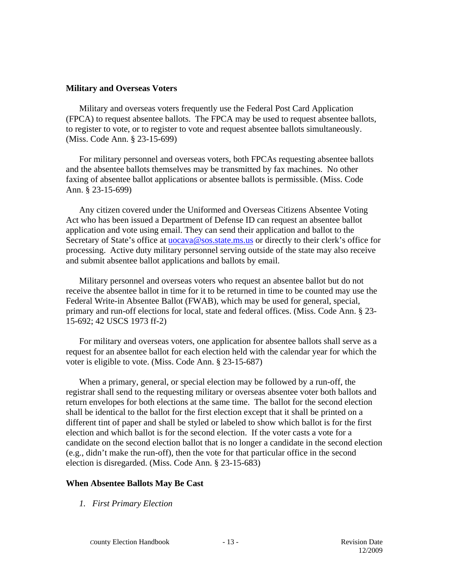#### **Military and Overseas Voters**

Military and overseas voters frequently use the Federal Post Card Application (FPCA) to request absentee ballots. The FPCA may be used to request absentee ballots, to register to vote, or to register to vote and request absentee ballots simultaneously. (Miss. Code Ann. § 23-15-699)

For military personnel and overseas voters, both FPCAs requesting absentee ballots and the absentee ballots themselves may be transmitted by fax machines. No other faxing of absentee ballot applications or absentee ballots is permissible. (Miss. Code Ann. § 23-15-699)

Any citizen covered under the Uniformed and Overseas Citizens Absentee Voting Act who has been issued a Department of Defense ID can request an absentee ballot application and vote using email. They can send their application and ballot to the Secretary of State's office at **uocava@sos.state.ms.us** or directly to their clerk's office for processing. Active duty military personnel serving outside of the state may also receive and submit absentee ballot applications and ballots by email.

Military personnel and overseas voters who request an absentee ballot but do not receive the absentee ballot in time for it to be returned in time to be counted may use the Federal Write-in Absentee Ballot (FWAB), which may be used for general, special, primary and run-off elections for local, state and federal offices. (Miss. Code Ann. § 23- 15-692; 42 USCS 1973 ff-2)

For military and overseas voters, one application for absentee ballots shall serve as a request for an absentee ballot for each election held with the calendar year for which the voter is eligible to vote. (Miss. Code Ann. § 23-15-687)

When a primary, general, or special election may be followed by a run-off, the registrar shall send to the requesting military or overseas absentee voter both ballots and return envelopes for both elections at the same time. The ballot for the second election shall be identical to the ballot for the first election except that it shall be printed on a different tint of paper and shall be styled or labeled to show which ballot is for the first election and which ballot is for the second election. If the voter casts a vote for a candidate on the second election ballot that is no longer a candidate in the second election (e.g., didn't make the run-off), then the vote for that particular office in the second election is disregarded. (Miss. Code Ann. § 23-15-683)

#### **When Absentee Ballots May Be Cast**

*1. First Primary Election*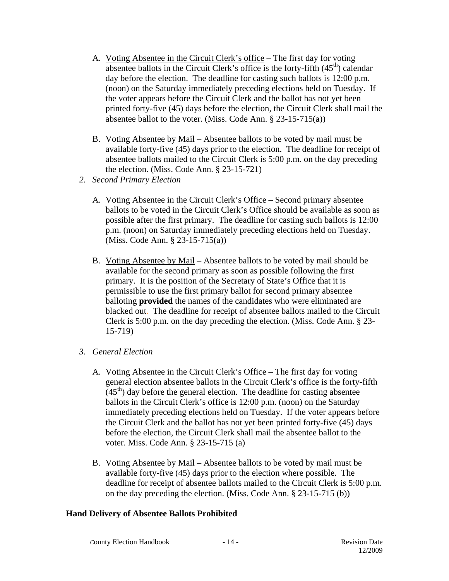- A. Voting Absentee in the Circuit Clerk's office The first day for voting absentee ballots in the Circuit Clerk's office is the forty-fifth  $(45<sup>th</sup>)$  calendar day before the election. The deadline for casting such ballots is 12:00 p.m. (noon) on the Saturday immediately preceding elections held on Tuesday. If the voter appears before the Circuit Clerk and the ballot has not yet been printed forty-five (45) days before the election, the Circuit Clerk shall mail the absentee ballot to the voter. (Miss. Code Ann. § 23-15-715(a))
- B. Voting Absentee by Mail Absentee ballots to be voted by mail must be available forty-five (45) days prior to the election. The deadline for receipt of absentee ballots mailed to the Circuit Clerk is 5:00 p.m. on the day preceding the election. (Miss. Code Ann. § 23-15-721)
- *2. Second Primary Election* 
	- A. Voting Absentee in the Circuit Clerk's Office Second primary absentee ballots to be voted in the Circuit Clerk's Office should be available as soon as possible after the first primary. The deadline for casting such ballots is 12:00 p.m. (noon) on Saturday immediately preceding elections held on Tuesday. (Miss. Code Ann. § 23-15-715(a))
	- B. Voting Absentee by Mail Absentee ballots to be voted by mail should be available for the second primary as soon as possible following the first primary. It is the position of the Secretary of State's Office that it is permissible to use the first primary ballot for second primary absentee balloting **provided** the names of the candidates who were eliminated are blacked out. The deadline for receipt of absentee ballots mailed to the Circuit Clerk is 5:00 p.m. on the day preceding the election. (Miss. Code Ann. § 23- 15-719)
- *3. General Election* 
	- A. Voting Absentee in the Circuit Clerk's Office The first day for voting general election absentee ballots in the Circuit Clerk's office is the forty-fifth  $(45<sup>th</sup>)$  day before the general election. The deadline for casting absentee ballots in the Circuit Clerk's office is 12:00 p.m. (noon) on the Saturday immediately preceding elections held on Tuesday. If the voter appears before the Circuit Clerk and the ballot has not yet been printed forty-five (45) days before the election, the Circuit Clerk shall mail the absentee ballot to the voter. Miss. Code Ann. § 23-15-715 (a)
	- B. Voting Absentee by Mail Absentee ballots to be voted by mail must be available forty-five (45) days prior to the election where possible. The deadline for receipt of absentee ballots mailed to the Circuit Clerk is 5:00 p.m. on the day preceding the election. (Miss. Code Ann. § 23-15-715 (b))

#### **Hand Delivery of Absentee Ballots Prohibited**

**County Election Handbook - 14 - Revision Date**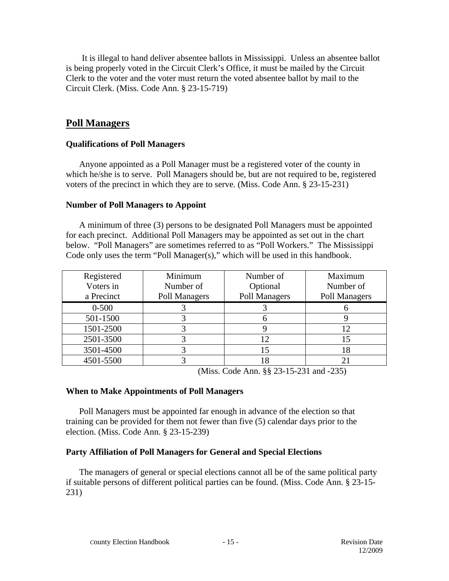It is illegal to hand deliver absentee ballots in Mississippi. Unless an absentee ballot is being properly voted in the Circuit Clerk's Office, it must be mailed by the Circuit Clerk to the voter and the voter must return the voted absentee ballot by mail to the Circuit Clerk. (Miss. Code Ann. § 23-15-719)

# **Poll Managers**

#### **Qualifications of Poll Managers**

Anyone appointed as a Poll Manager must be a registered voter of the county in which he/she is to serve. Poll Managers should be, but are not required to be, registered voters of the precinct in which they are to serve. (Miss. Code Ann. § 23-15-231)

#### **Number of Poll Managers to Appoint**

A minimum of three (3) persons to be designated Poll Managers must be appointed for each precinct. Additional Poll Managers may be appointed as set out in the chart below. "Poll Managers" are sometimes referred to as "Poll Workers." The Mississippi Code only uses the term "Poll Manager(s)," which will be used in this handbook.

| Registered | Minimum       | Number of     | Maximum       |
|------------|---------------|---------------|---------------|
| Voters in  | Number of     | Optional      | Number of     |
| a Precinct | Poll Managers | Poll Managers | Poll Managers |
| $0 - 500$  |               |               |               |
| 501-1500   |               |               |               |
| 1501-2500  |               |               |               |
| 2501-3500  |               | 12            |               |
| 3501-4500  |               | 15            |               |
| 4501-5500  |               | 18            |               |

(Miss. Code Ann. §§ 23-15-231 and -235)

#### **When to Make Appointments of Poll Managers**

Poll Managers must be appointed far enough in advance of the election so that training can be provided for them not fewer than five (5) calendar days prior to the election. (Miss. Code Ann. § 23-15-239)

#### **Party Affiliation of Poll Managers for General and Special Elections**

The managers of general or special elections cannot all be of the same political party if suitable persons of different political parties can be found. (Miss. Code Ann. § 23-15- 231)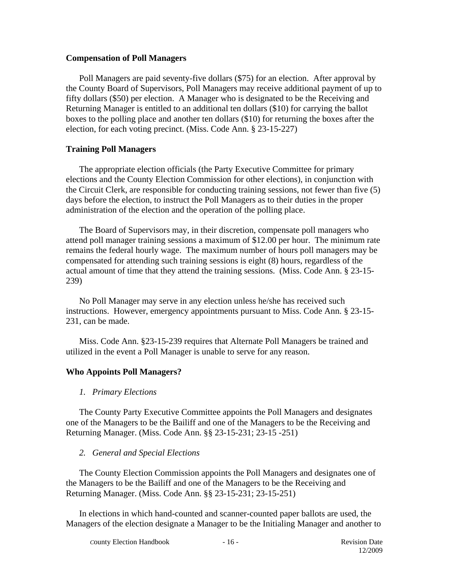#### **Compensation of Poll Managers**

Poll Managers are paid seventy-five dollars (\$75) for an election. After approval by the County Board of Supervisors, Poll Managers may receive additional payment of up to fifty dollars (\$50) per election. A Manager who is designated to be the Receiving and Returning Manager is entitled to an additional ten dollars (\$10) for carrying the ballot boxes to the polling place and another ten dollars (\$10) for returning the boxes after the election, for each voting precinct. (Miss. Code Ann. § 23-15-227)

#### **Training Poll Managers**

The appropriate election officials (the Party Executive Committee for primary elections and the County Election Commission for other elections), in conjunction with the Circuit Clerk, are responsible for conducting training sessions, not fewer than five (5) days before the election, to instruct the Poll Managers as to their duties in the proper administration of the election and the operation of the polling place.

The Board of Supervisors may, in their discretion, compensate poll managers who attend poll manager training sessions a maximum of \$12.00 per hour. The minimum rate remains the federal hourly wage. The maximum number of hours poll managers may be compensated for attending such training sessions is eight (8) hours, regardless of the actual amount of time that they attend the training sessions. (Miss. Code Ann. § 23-15- 239)

No Poll Manager may serve in any election unless he/she has received such instructions. However, emergency appointments pursuant to Miss. Code Ann. § 23-15- 231, can be made.

Miss. Code Ann. §23-15-239 requires that Alternate Poll Managers be trained and utilized in the event a Poll Manager is unable to serve for any reason.

#### **Who Appoints Poll Managers?**

#### *1. Primary Elections*

The County Party Executive Committee appoints the Poll Managers and designates one of the Managers to be the Bailiff and one of the Managers to be the Receiving and Returning Manager. (Miss. Code Ann. §§ 23-15-231; 23-15 -251)

#### *2. General and Special Elections*

The County Election Commission appoints the Poll Managers and designates one of the Managers to be the Bailiff and one of the Managers to be the Receiving and Returning Manager. (Miss. Code Ann. §§ 23-15-231; 23-15-251)

In elections in which hand-counted and scanner-counted paper ballots are used, the Managers of the election designate a Manager to be the Initialing Manager and another to

**County Election Handbook - 16 - Revision Date**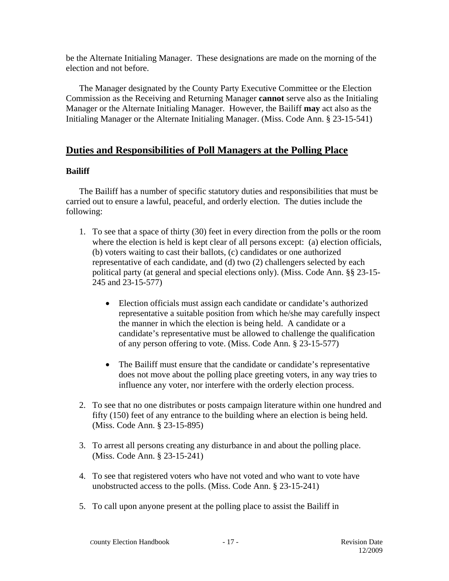be the Alternate Initialing Manager. These designations are made on the morning of the election and not before.

The Manager designated by the County Party Executive Committee or the Election Commission as the Receiving and Returning Manager **cannot** serve also as the Initialing Manager or the Alternate Initialing Manager. However, the Bailiff **may** act also as the Initialing Manager or the Alternate Initialing Manager. (Miss. Code Ann. § 23-15-541)

# **Duties and Responsibilities of Poll Managers at the Polling Place**

# **Bailiff**

The Bailiff has a number of specific statutory duties and responsibilities that must be carried out to ensure a lawful, peaceful, and orderly election. The duties include the following:

- 1. To see that a space of thirty (30) feet in every direction from the polls or the room where the election is held is kept clear of all persons except: (a) election officials, (b) voters waiting to cast their ballots, (c) candidates or one authorized representative of each candidate, and (d) two (2) challengers selected by each political party (at general and special elections only). (Miss. Code Ann. §§ 23-15- 245 and 23-15-577)
	- Election officials must assign each candidate or candidate's authorized representative a suitable position from which he/she may carefully inspect the manner in which the election is being held. A candidate or a candidate's representative must be allowed to challenge the qualification of any person offering to vote. (Miss. Code Ann. § 23-15-577)
	- The Bailiff must ensure that the candidate or candidate's representative does not move about the polling place greeting voters, in any way tries to influence any voter, nor interfere with the orderly election process.
- 2. To see that no one distributes or posts campaign literature within one hundred and fifty (150) feet of any entrance to the building where an election is being held. (Miss. Code Ann. § 23-15-895)
- 3. To arrest all persons creating any disturbance in and about the polling place. (Miss. Code Ann. § 23-15-241)
- 4. To see that registered voters who have not voted and who want to vote have unobstructed access to the polls. (Miss. Code Ann. § 23-15-241)
- 5. To call upon anyone present at the polling place to assist the Bailiff in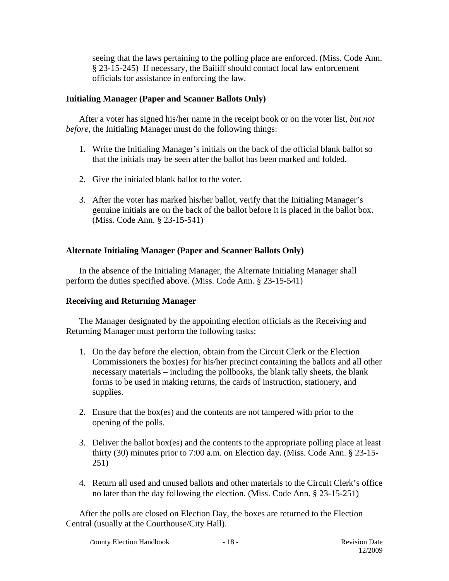seeing that the laws pertaining to the polling place are enforced. (Miss. Code Ann. § 23-15-245) If necessary, the Bailiff should contact local law enforcement officials for assistance in enforcing the law.

#### **Initialing Manager (Paper and Scanner Ballots Only)**

After a voter has signed his/her name in the receipt book or on the voter list, *but not before*, the Initialing Manager must do the following things:

- 1. Write the Initialing Manager's initials on the back of the official blank ballot so that the initials may be seen after the ballot has been marked and folded.
- 2. Give the initialed blank ballot to the voter.
- 3. After the voter has marked his/her ballot, verify that the Initialing Manager's genuine initials are on the back of the ballot before it is placed in the ballot box. (Miss. Code Ann. § 23-15-541)

# **Alternate Initialing Manager (Paper and Scanner Ballots Only)**

In the absence of the Initialing Manager, the Alternate Initialing Manager shall perform the duties specified above. (Miss. Code Ann. § 23-15-541)

#### **Receiving and Returning Manager**

The Manager designated by the appointing election officials as the Receiving and Returning Manager must perform the following tasks:

- 1. On the day before the election, obtain from the Circuit Clerk or the Election Commissioners the box(es) for his/her precinct containing the ballots and all other necessary materials – including the pollbooks, the blank tally sheets, the blank forms to be used in making returns, the cards of instruction, stationery, and supplies.
- 2. Ensure that the box(es) and the contents are not tampered with prior to the opening of the polls.
- 3. Deliver the ballot box(es) and the contents to the appropriate polling place at least thirty (30) minutes prior to 7:00 a.m. on Election day. (Miss. Code Ann. § 23-15- 251)
- 4. Return all used and unused ballots and other materials to the Circuit Clerk's office no later than the day following the election. (Miss. Code Ann. § 23-15-251)

After the polls are closed on Election Day, the boxes are returned to the Election Central (usually at the Courthouse/City Hall).

*C*ounty Election Handbook - 18 - Revision Date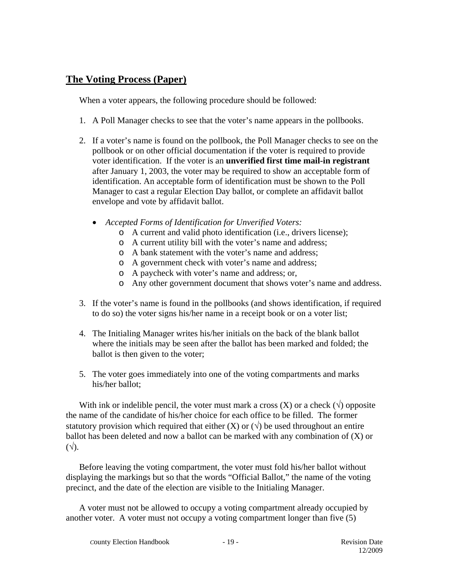# **The Voting Process (Paper)**

When a voter appears, the following procedure should be followed:

- 1. A Poll Manager checks to see that the voter's name appears in the pollbooks.
- 2. If a voter's name is found on the pollbook, the Poll Manager checks to see on the pollbook or on other official documentation if the voter is required to provide voter identification. If the voter is an **unverified first time mail-in registrant** after January 1, 2003, the voter may be required to show an acceptable form of identification. An acceptable form of identification must be shown to the Poll Manager to cast a regular Election Day ballot, or complete an affidavit ballot envelope and vote by affidavit ballot.
	- *Accepted Forms of Identification for Unverified Voters:* 
		- o A current and valid photo identification (i.e., drivers license);
		- o A current utility bill with the voter's name and address;
		- o A bank statement with the voter's name and address;
		- o A government check with voter's name and address;
		- o A paycheck with voter's name and address; or,
		- o Any other government document that shows voter's name and address.
- 3. If the voter's name is found in the pollbooks (and shows identification, if required to do so) the voter signs his/her name in a receipt book or on a voter list;
- 4. The Initialing Manager writes his/her initials on the back of the blank ballot where the initials may be seen after the ballot has been marked and folded; the ballot is then given to the voter;
- 5. The voter goes immediately into one of the voting compartments and marks his/her ballot;

With ink or indelible pencil, the voter must mark a cross  $(X)$  or a check  $(\vee)$  opposite the name of the candidate of his/her choice for each office to be filled. The former statutory provision which required that either  $(X)$  or  $(\forall)$  be used throughout an entire ballot has been deleted and now a ballot can be marked with any combination of (X) or  $(\sqrt{\ }$ .

Before leaving the voting compartment, the voter must fold his/her ballot without displaying the markings but so that the words "Official Ballot," the name of the voting precinct, and the date of the election are visible to the Initialing Manager.

A voter must not be allowed to occupy a voting compartment already occupied by another voter. A voter must not occupy a voting compartment longer than five (5)

**County Election Handbook** - 19 - **Revision Date**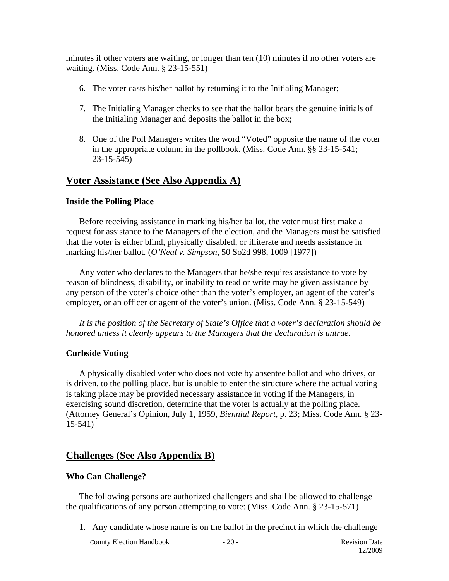minutes if other voters are waiting, or longer than ten (10) minutes if no other voters are waiting. (Miss. Code Ann. § 23-15-551)

- 6. The voter casts his/her ballot by returning it to the Initialing Manager;
- 7. The Initialing Manager checks to see that the ballot bears the genuine initials of the Initialing Manager and deposits the ballot in the box;
- 8. One of the Poll Managers writes the word "Voted" opposite the name of the voter in the appropriate column in the pollbook. (Miss. Code Ann. §§ 23-15-541; 23-15-545)

# **Voter Assistance (See Also Appendix A)**

#### **Inside the Polling Place**

Before receiving assistance in marking his/her ballot, the voter must first make a request for assistance to the Managers of the election, and the Managers must be satisfied that the voter is either blind, physically disabled, or illiterate and needs assistance in marking his/her ballot. (*O'Neal v. Simpson*, 50 So2d 998, 1009 [1977])

Any voter who declares to the Managers that he/she requires assistance to vote by reason of blindness, disability, or inability to read or write may be given assistance by any person of the voter's choice other than the voter's employer, an agent of the voter's employer, or an officer or agent of the voter's union. (Miss. Code Ann. § 23-15-549)

*It is the position of the Secretary of State's Office that a voter's declaration should be honored unless it clearly appears to the Managers that the declaration is untrue.* 

#### **Curbside Voting**

A physically disabled voter who does not vote by absentee ballot and who drives, or is driven, to the polling place, but is unable to enter the structure where the actual voting is taking place may be provided necessary assistance in voting if the Managers, in exercising sound discretion, determine that the voter is actually at the polling place. (Attorney General's Opinion, July 1, 1959, *Biennial Report,* p. 23; Miss. Code Ann. § 23- 15-541)

#### **Challenges (See Also Appendix B)**

#### **Who Can Challenge?**

The following persons are authorized challengers and shall be allowed to challenge the qualifications of any person attempting to vote: (Miss. Code Ann. § 23-15-571)

1. Any candidate whose name is on the ballot in the precinct in which the challenge

**County Election Handbook** - 20 - Revision Date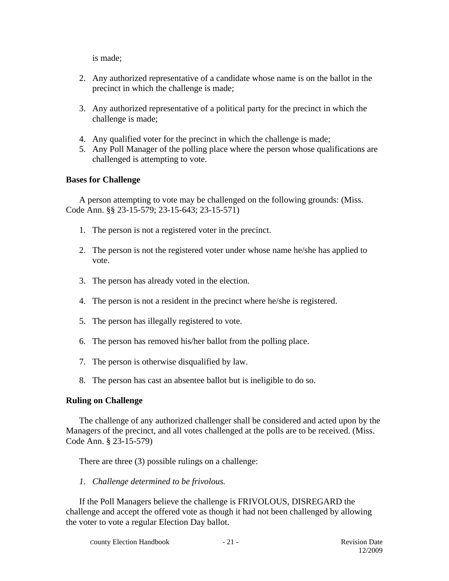is made;

- 2. Any authorized representative of a candidate whose name is on the ballot in the precinct in which the challenge is made;
- 3. Any authorized representative of a political party for the precinct in which the challenge is made;
- 4. Any qualified voter for the precinct in which the challenge is made;
- 5. Any Poll Manager of the polling place where the person whose qualifications are challenged is attempting to vote.

# **Bases for Challenge**

A person attempting to vote may be challenged on the following grounds: (Miss. Code Ann. §§ 23-15-579; 23-15-643; 23-15-571)

- 1. The person is not a registered voter in the precinct.
- 2. The person is not the registered voter under whose name he/she has applied to vote.
- 3. The person has already voted in the election.
- 4. The person is not a resident in the precinct where he/she is registered.
- 5. The person has illegally registered to vote.
- 6. The person has removed his/her ballot from the polling place.
- 7. The person is otherwise disqualified by law.
- 8. The person has cast an absentee ballot but is ineligible to do so.

# **Ruling on Challenge**

The challenge of any authorized challenger shall be considered and acted upon by the Managers of the precinct, and all votes challenged at the polls are to be received. (Miss. Code Ann. § 23-15-579)

There are three (3) possible rulings on a challenge:

*1. Challenge determined to be frivolous.* 

If the Poll Managers believe the challenge is FRIVOLOUS, DISREGARD the challenge and accept the offered vote as though it had not been challenged by allowing the voter to vote a regular Election Day ballot.

**County Election Handbook - 21 - Revision Date**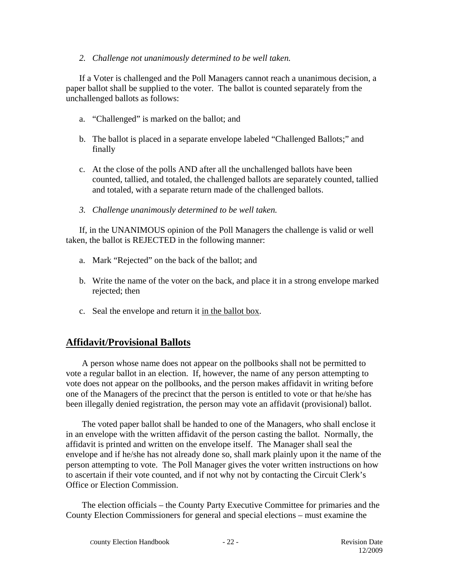#### *2. Challenge not unanimously determined to be well taken.*

If a Voter is challenged and the Poll Managers cannot reach a unanimous decision, a paper ballot shall be supplied to the voter. The ballot is counted separately from the unchallenged ballots as follows:

- a. "Challenged" is marked on the ballot; and
- b. The ballot is placed in a separate envelope labeled "Challenged Ballots;" and finally
- c. At the close of the polls AND after all the unchallenged ballots have been counted, tallied, and totaled, the challenged ballots are separately counted, tallied and totaled, with a separate return made of the challenged ballots.
- *3. Challenge unanimously determined to be well taken.*

If, in the UNANIMOUS opinion of the Poll Managers the challenge is valid or well taken, the ballot is REJECTED in the following manner:

- a. Mark "Rejected" on the back of the ballot; and
- b. Write the name of the voter on the back, and place it in a strong envelope marked rejected; then
- c. Seal the envelope and return it in the ballot box.

# **Affidavit/Provisional Ballots**

A person whose name does not appear on the pollbooks shall not be permitted to vote a regular ballot in an election. If, however, the name of any person attempting to vote does not appear on the pollbooks, and the person makes affidavit in writing before one of the Managers of the precinct that the person is entitled to vote or that he/she has been illegally denied registration, the person may vote an affidavit (provisional) ballot.

The voted paper ballot shall be handed to one of the Managers, who shall enclose it in an envelope with the written affidavit of the person casting the ballot. Normally, the affidavit is printed and written on the envelope itself. The Manager shall seal the envelope and if he/she has not already done so, shall mark plainly upon it the name of the person attempting to vote. The Poll Manager gives the voter written instructions on how to ascertain if their vote counted, and if not why not by contacting the Circuit Clerk's Office or Election Commission.

The election officials – the County Party Executive Committee for primaries and the County Election Commissioners for general and special elections – must examine the

**County Election Handbook - 22 - Revision Date**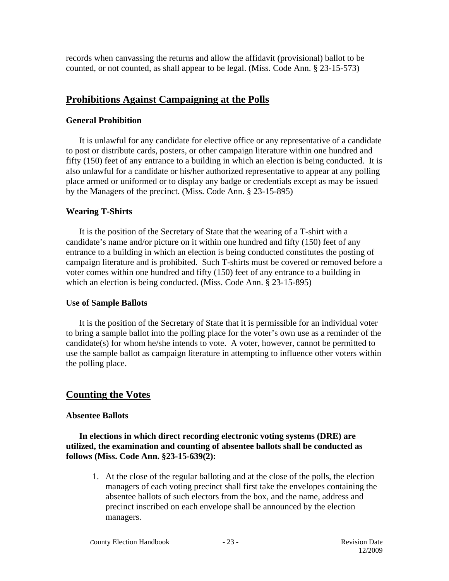records when canvassing the returns and allow the affidavit (provisional) ballot to be counted, or not counted, as shall appear to be legal. (Miss. Code Ann. § 23-15-573)

# **Prohibitions Against Campaigning at the Polls**

#### **General Prohibition**

It is unlawful for any candidate for elective office or any representative of a candidate to post or distribute cards, posters, or other campaign literature within one hundred and fifty (150) feet of any entrance to a building in which an election is being conducted. It is also unlawful for a candidate or his/her authorized representative to appear at any polling place armed or uniformed or to display any badge or credentials except as may be issued by the Managers of the precinct. (Miss. Code Ann. § 23-15-895)

#### **Wearing T-Shirts**

It is the position of the Secretary of State that the wearing of a T-shirt with a candidate's name and/or picture on it within one hundred and fifty (150) feet of any entrance to a building in which an election is being conducted constitutes the posting of campaign literature and is prohibited. Such T-shirts must be covered or removed before a voter comes within one hundred and fifty (150) feet of any entrance to a building in which an election is being conducted. (Miss. Code Ann. § 23-15-895)

#### **Use of Sample Ballots**

It is the position of the Secretary of State that it is permissible for an individual voter to bring a sample ballot into the polling place for the voter's own use as a reminder of the candidate(s) for whom he/she intends to vote. A voter, however, cannot be permitted to use the sample ballot as campaign literature in attempting to influence other voters within the polling place.

# **Counting the Votes**

#### **Absentee Ballots**

**In elections in which direct recording electronic voting systems (DRE) are utilized, the examination and counting of absentee ballots shall be conducted as follows (Miss. Code Ann. §23-15-639(2):** 

1. At the close of the regular balloting and at the close of the polls, the election managers of each voting precinct shall first take the envelopes containing the absentee ballots of such electors from the box, and the name, address and precinct inscribed on each envelope shall be announced by the election managers.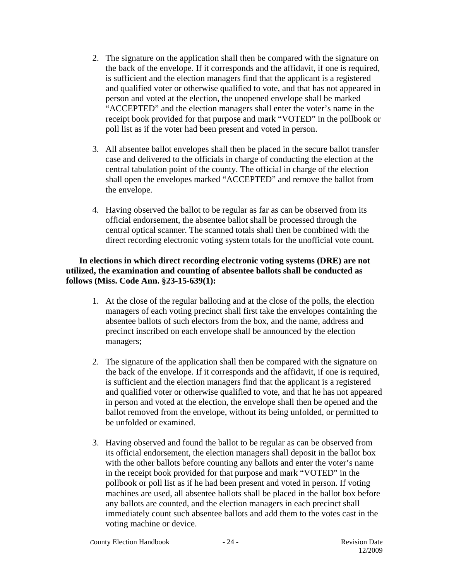- 2. The signature on the application shall then be compared with the signature on the back of the envelope. If it corresponds and the affidavit, if one is required, is sufficient and the election managers find that the applicant is a registered and qualified voter or otherwise qualified to vote, and that has not appeared in person and voted at the election, the unopened envelope shall be marked "ACCEPTED" and the election managers shall enter the voter's name in the receipt book provided for that purpose and mark "VOTED" in the pollbook or poll list as if the voter had been present and voted in person.
- 3. All absentee ballot envelopes shall then be placed in the secure ballot transfer case and delivered to the officials in charge of conducting the election at the central tabulation point of the county. The official in charge of the election shall open the envelopes marked "ACCEPTED" and remove the ballot from the envelope.
- 4. Having observed the ballot to be regular as far as can be observed from its official endorsement, the absentee ballot shall be processed through the central optical scanner. The scanned totals shall then be combined with the direct recording electronic voting system totals for the unofficial vote count.

#### **In elections in which direct recording electronic voting systems (DRE) are not utilized, the examination and counting of absentee ballots shall be conducted as follows (Miss. Code Ann. §23-15-639(1):**

- 1. At the close of the regular balloting and at the close of the polls, the election managers of each voting precinct shall first take the envelopes containing the absentee ballots of such electors from the box, and the name, address and precinct inscribed on each envelope shall be announced by the election managers;
- 2. The signature of the application shall then be compared with the signature on the back of the envelope. If it corresponds and the affidavit, if one is required, is sufficient and the election managers find that the applicant is a registered and qualified voter or otherwise qualified to vote, and that he has not appeared in person and voted at the election, the envelope shall then be opened and the ballot removed from the envelope, without its being unfolded, or permitted to be unfolded or examined.
- 3. Having observed and found the ballot to be regular as can be observed from its official endorsement, the election managers shall deposit in the ballot box with the other ballots before counting any ballots and enter the voter's name in the receipt book provided for that purpose and mark "VOTED" in the pollbook or poll list as if he had been present and voted in person. If voting machines are used, all absentee ballots shall be placed in the ballot box before any ballots are counted, and the election managers in each precinct shall immediately count such absentee ballots and add them to the votes cast in the voting machine or device.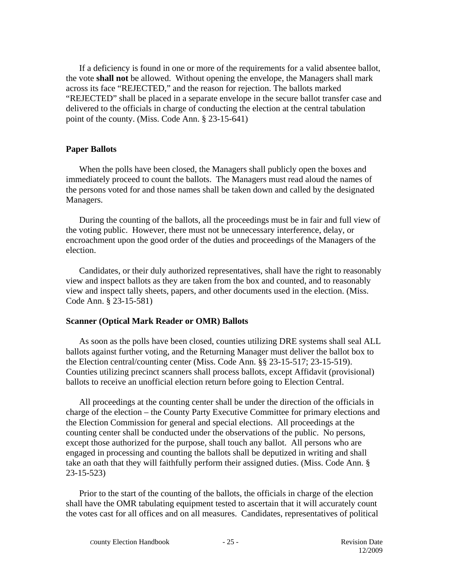If a deficiency is found in one or more of the requirements for a valid absentee ballot, the vote **shall not** be allowed. Without opening the envelope, the Managers shall mark across its face "REJECTED," and the reason for rejection. The ballots marked "REJECTED" shall be placed in a separate envelope in the secure ballot transfer case and delivered to the officials in charge of conducting the election at the central tabulation point of the county. (Miss. Code Ann. § 23-15-641)

#### **Paper Ballots**

When the polls have been closed, the Managers shall publicly open the boxes and immediately proceed to count the ballots. The Managers must read aloud the names of the persons voted for and those names shall be taken down and called by the designated Managers.

During the counting of the ballots, all the proceedings must be in fair and full view of the voting public. However, there must not be unnecessary interference, delay, or encroachment upon the good order of the duties and proceedings of the Managers of the election.

Candidates, or their duly authorized representatives, shall have the right to reasonably view and inspect ballots as they are taken from the box and counted, and to reasonably view and inspect tally sheets, papers, and other documents used in the election. (Miss. Code Ann. § 23-15-581)

#### **Scanner (Optical Mark Reader or OMR) Ballots**

As soon as the polls have been closed, counties utilizing DRE systems shall seal ALL ballots against further voting, and the Returning Manager must deliver the ballot box to the Election central/counting center (Miss. Code Ann. §§ 23-15-517; 23-15-519). Counties utilizing precinct scanners shall process ballots, except Affidavit (provisional) ballots to receive an unofficial election return before going to Election Central.

All proceedings at the counting center shall be under the direction of the officials in charge of the election – the County Party Executive Committee for primary elections and the Election Commission for general and special elections. All proceedings at the counting center shall be conducted under the observations of the public. No persons, except those authorized for the purpose, shall touch any ballot. All persons who are engaged in processing and counting the ballots shall be deputized in writing and shall take an oath that they will faithfully perform their assigned duties. (Miss. Code Ann. § 23-15-523)

Prior to the start of the counting of the ballots, the officials in charge of the election shall have the OMR tabulating equipment tested to ascertain that it will accurately count the votes cast for all offices and on all measures. Candidates, representatives of political

**County Election Handbook** - 25 - Revision Date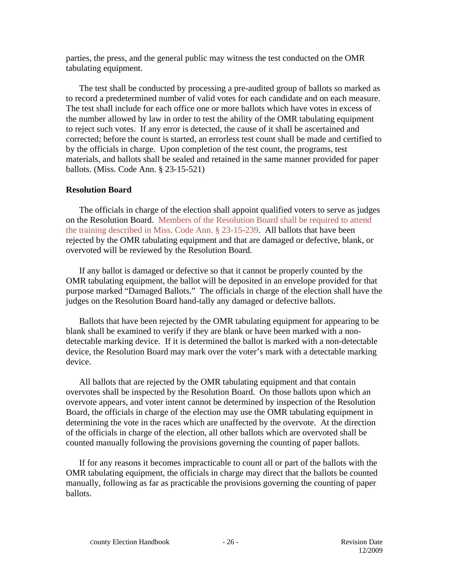parties, the press, and the general public may witness the test conducted on the OMR tabulating equipment.

The test shall be conducted by processing a pre-audited group of ballots so marked as to record a predetermined number of valid votes for each candidate and on each measure. The test shall include for each office one or more ballots which have votes in excess of the number allowed by law in order to test the ability of the OMR tabulating equipment to reject such votes. If any error is detected, the cause of it shall be ascertained and corrected; before the count is started, an errorless test count shall be made and certified to by the officials in charge. Upon completion of the test count, the programs, test materials, and ballots shall be sealed and retained in the same manner provided for paper ballots. (Miss. Code Ann. § 23-15-521)

#### **Resolution Board**

The officials in charge of the election shall appoint qualified voters to serve as judges on the Resolution Board. Members of the Resolution Board shall be required to attend the training described in Miss. Code Ann. § 23-15-239. All ballots that have been rejected by the OMR tabulating equipment and that are damaged or defective, blank, or overvoted will be reviewed by the Resolution Board.

If any ballot is damaged or defective so that it cannot be properly counted by the OMR tabulating equipment, the ballot will be deposited in an envelope provided for that purpose marked "Damaged Ballots." The officials in charge of the election shall have the judges on the Resolution Board hand-tally any damaged or defective ballots.

Ballots that have been rejected by the OMR tabulating equipment for appearing to be blank shall be examined to verify if they are blank or have been marked with a nondetectable marking device. If it is determined the ballot is marked with a non-detectable device, the Resolution Board may mark over the voter's mark with a detectable marking device.

All ballots that are rejected by the OMR tabulating equipment and that contain overvotes shall be inspected by the Resolution Board. On those ballots upon which an overvote appears, and voter intent cannot be determined by inspection of the Resolution Board, the officials in charge of the election may use the OMR tabulating equipment in determining the vote in the races which are unaffected by the overvote. At the direction of the officials in charge of the election, all other ballots which are overvoted shall be counted manually following the provisions governing the counting of paper ballots.

If for any reasons it becomes impracticable to count all or part of the ballots with the OMR tabulating equipment, the officials in charge may direct that the ballots be counted manually, following as far as practicable the provisions governing the counting of paper ballots.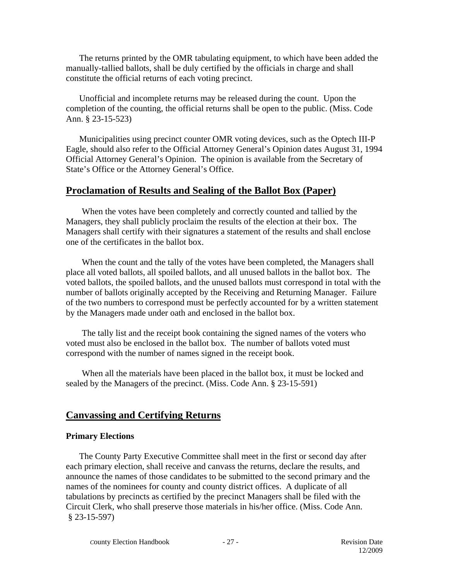The returns printed by the OMR tabulating equipment, to which have been added the manually-tallied ballots, shall be duly certified by the officials in charge and shall constitute the official returns of each voting precinct.

Unofficial and incomplete returns may be released during the count. Upon the completion of the counting, the official returns shall be open to the public. (Miss. Code Ann. § 23-15-523)

Municipalities using precinct counter OMR voting devices, such as the Optech III-P Eagle, should also refer to the Official Attorney General's Opinion dates August 31, 1994 Official Attorney General's Opinion. The opinion is available from the Secretary of State's Office or the Attorney General's Office.

# **Proclamation of Results and Sealing of the Ballot Box (Paper)**

When the votes have been completely and correctly counted and tallied by the Managers, they shall publicly proclaim the results of the election at their box. The Managers shall certify with their signatures a statement of the results and shall enclose one of the certificates in the ballot box.

When the count and the tally of the votes have been completed, the Managers shall place all voted ballots, all spoiled ballots, and all unused ballots in the ballot box. The voted ballots, the spoiled ballots, and the unused ballots must correspond in total with the number of ballots originally accepted by the Receiving and Returning Manager. Failure of the two numbers to correspond must be perfectly accounted for by a written statement by the Managers made under oath and enclosed in the ballot box.

The tally list and the receipt book containing the signed names of the voters who voted must also be enclosed in the ballot box. The number of ballots voted must correspond with the number of names signed in the receipt book.

When all the materials have been placed in the ballot box, it must be locked and sealed by the Managers of the precinct. (Miss. Code Ann. § 23-15-591)

# **Canvassing and Certifying Returns**

#### **Primary Elections**

The County Party Executive Committee shall meet in the first or second day after each primary election, shall receive and canvass the returns, declare the results, and announce the names of those candidates to be submitted to the second primary and the names of the nominees for county and county district offices. A duplicate of all tabulations by precincts as certified by the precinct Managers shall be filed with the Circuit Clerk, who shall preserve those materials in his/her office. (Miss. Code Ann. § 23-15-597)

**County Election Handbook - 27 - Revision Date**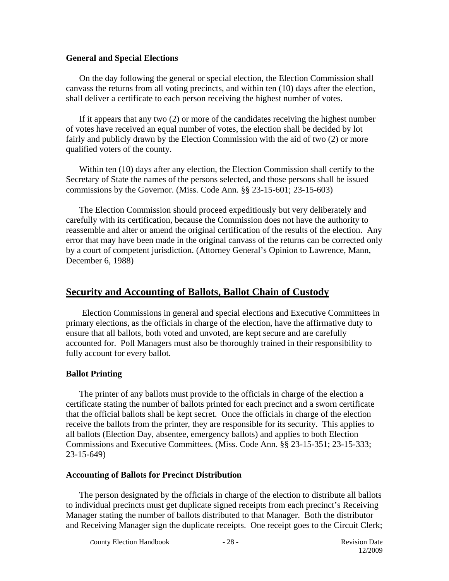#### **General and Special Elections**

On the day following the general or special election, the Election Commission shall canvass the returns from all voting precincts, and within ten (10) days after the election, shall deliver a certificate to each person receiving the highest number of votes.

If it appears that any two (2) or more of the candidates receiving the highest number of votes have received an equal number of votes, the election shall be decided by lot fairly and publicly drawn by the Election Commission with the aid of two (2) or more qualified voters of the county.

Within ten (10) days after any election, the Election Commission shall certify to the Secretary of State the names of the persons selected, and those persons shall be issued commissions by the Governor. (Miss. Code Ann. §§ 23-15-601; 23-15-603)

The Election Commission should proceed expeditiously but very deliberately and carefully with its certification, because the Commission does not have the authority to reassemble and alter or amend the original certification of the results of the election. Any error that may have been made in the original canvass of the returns can be corrected only by a court of competent jurisdiction. (Attorney General's Opinion to Lawrence, Mann, December 6, 1988)

# **Security and Accounting of Ballots, Ballot Chain of Custody**

Election Commissions in general and special elections and Executive Committees in primary elections, as the officials in charge of the election, have the affirmative duty to ensure that all ballots, both voted and unvoted, are kept secure and are carefully accounted for. Poll Managers must also be thoroughly trained in their responsibility to fully account for every ballot.

#### **Ballot Printing**

The printer of any ballots must provide to the officials in charge of the election a certificate stating the number of ballots printed for each precinct and a sworn certificate that the official ballots shall be kept secret. Once the officials in charge of the election receive the ballots from the printer, they are responsible for its security. This applies to all ballots (Election Day, absentee, emergency ballots) and applies to both Election Commissions and Executive Committees. (Miss. Code Ann. §§ 23-15-351; 23-15-333; 23-15-649)

#### **Accounting of Ballots for Precinct Distribution**

The person designated by the officials in charge of the election to distribute all ballots to individual precincts must get duplicate signed receipts from each precinct's Receiving Manager stating the number of ballots distributed to that Manager. Both the distributor and Receiving Manager sign the duplicate receipts. One receipt goes to the Circuit Clerk;

**County Election Handbook** - 28 - **Revision Date**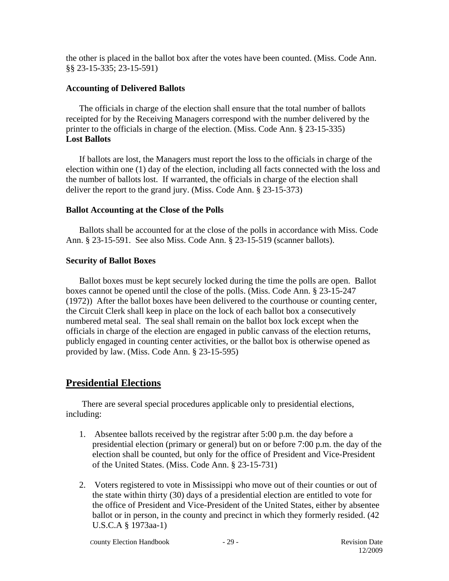the other is placed in the ballot box after the votes have been counted. (Miss. Code Ann. §§ 23-15-335; 23-15-591)

#### **Accounting of Delivered Ballots**

The officials in charge of the election shall ensure that the total number of ballots receipted for by the Receiving Managers correspond with the number delivered by the printer to the officials in charge of the election. (Miss. Code Ann. § 23-15-335) **Lost Ballots**

If ballots are lost, the Managers must report the loss to the officials in charge of the election within one (1) day of the election, including all facts connected with the loss and the number of ballots lost. If warranted, the officials in charge of the election shall deliver the report to the grand jury. (Miss. Code Ann. § 23-15-373)

#### **Ballot Accounting at the Close of the Polls**

Ballots shall be accounted for at the close of the polls in accordance with Miss. Code Ann. § 23-15-591. See also Miss. Code Ann. § 23-15-519 (scanner ballots).

#### **Security of Ballot Boxes**

Ballot boxes must be kept securely locked during the time the polls are open. Ballot boxes cannot be opened until the close of the polls. (Miss. Code Ann. § 23-15-247 (1972)) After the ballot boxes have been delivered to the courthouse or counting center, the Circuit Clerk shall keep in place on the lock of each ballot box a consecutively numbered metal seal. The seal shall remain on the ballot box lock except when the officials in charge of the election are engaged in public canvass of the election returns, publicly engaged in counting center activities, or the ballot box is otherwise opened as provided by law. (Miss. Code Ann. § 23-15-595)

# **Presidential Elections**

There are several special procedures applicable only to presidential elections, including:

- 1. Absentee ballots received by the registrar after 5:00 p.m. the day before a presidential election (primary or general) but on or before 7:00 p.m. the day of the election shall be counted, but only for the office of President and Vice-President of the United States. (Miss. Code Ann. § 23-15-731)
- 2. Voters registered to vote in Mississippi who move out of their counties or out of the state within thirty (30) days of a presidential election are entitled to vote for the office of President and Vice-President of the United States, either by absentee ballot or in person, in the county and precinct in which they formerly resided. (42 U.S.C.A § 1973aa-1)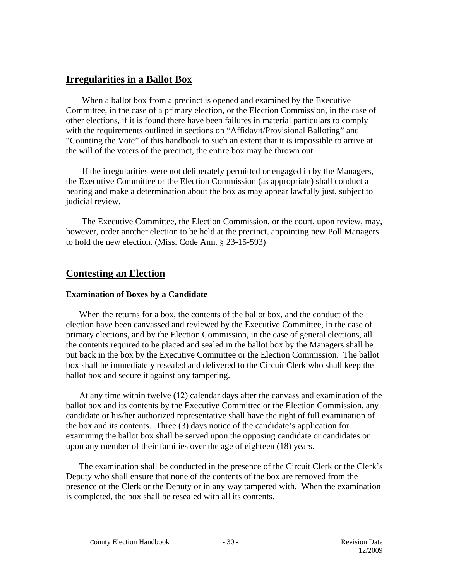# **Irregularities in a Ballot Box**

When a ballot box from a precinct is opened and examined by the Executive Committee, in the case of a primary election, or the Election Commission, in the case of other elections, if it is found there have been failures in material particulars to comply with the requirements outlined in sections on "Affidavit/Provisional Balloting" and "Counting the Vote" of this handbook to such an extent that it is impossible to arrive at the will of the voters of the precinct, the entire box may be thrown out.

If the irregularities were not deliberately permitted or engaged in by the Managers, the Executive Committee or the Election Commission (as appropriate) shall conduct a hearing and make a determination about the box as may appear lawfully just, subject to judicial review.

The Executive Committee, the Election Commission, or the court, upon review, may, however, order another election to be held at the precinct, appointing new Poll Managers to hold the new election. (Miss. Code Ann. § 23-15-593)

# **Contesting an Election**

#### **Examination of Boxes by a Candidate**

When the returns for a box, the contents of the ballot box, and the conduct of the election have been canvassed and reviewed by the Executive Committee, in the case of primary elections, and by the Election Commission, in the case of general elections, all the contents required to be placed and sealed in the ballot box by the Managers shall be put back in the box by the Executive Committee or the Election Commission. The ballot box shall be immediately resealed and delivered to the Circuit Clerk who shall keep the ballot box and secure it against any tampering.

At any time within twelve (12) calendar days after the canvass and examination of the ballot box and its contents by the Executive Committee or the Election Commission, any candidate or his/her authorized representative shall have the right of full examination of the box and its contents. Three (3) days notice of the candidate's application for examining the ballot box shall be served upon the opposing candidate or candidates or upon any member of their families over the age of eighteen (18) years.

The examination shall be conducted in the presence of the Circuit Clerk or the Clerk's Deputy who shall ensure that none of the contents of the box are removed from the presence of the Clerk or the Deputy or in any way tampered with. When the examination is completed, the box shall be resealed with all its contents.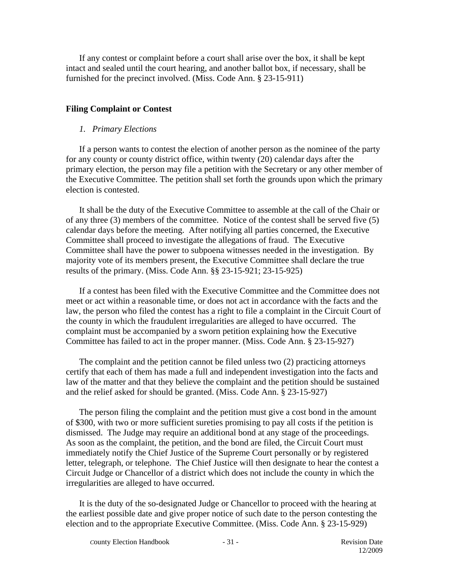If any contest or complaint before a court shall arise over the box, it shall be kept intact and sealed until the court hearing, and another ballot box, if necessary, shall be furnished for the precinct involved. (Miss. Code Ann. § 23-15-911)

#### **Filing Complaint or Contest**

#### *1. Primary Elections*

If a person wants to contest the election of another person as the nominee of the party for any county or county district office, within twenty (20) calendar days after the primary election, the person may file a petition with the Secretary or any other member of the Executive Committee. The petition shall set forth the grounds upon which the primary election is contested.

It shall be the duty of the Executive Committee to assemble at the call of the Chair or of any three (3) members of the committee. Notice of the contest shall be served five (5) calendar days before the meeting. After notifying all parties concerned, the Executive Committee shall proceed to investigate the allegations of fraud. The Executive Committee shall have the power to subpoena witnesses needed in the investigation. By majority vote of its members present, the Executive Committee shall declare the true results of the primary. (Miss. Code Ann. §§ 23-15-921; 23-15-925)

If a contest has been filed with the Executive Committee and the Committee does not meet or act within a reasonable time, or does not act in accordance with the facts and the law, the person who filed the contest has a right to file a complaint in the Circuit Court of the county in which the fraudulent irregularities are alleged to have occurred. The complaint must be accompanied by a sworn petition explaining how the Executive Committee has failed to act in the proper manner. (Miss. Code Ann. § 23-15-927)

The complaint and the petition cannot be filed unless two (2) practicing attorneys certify that each of them has made a full and independent investigation into the facts and law of the matter and that they believe the complaint and the petition should be sustained and the relief asked for should be granted. (Miss. Code Ann. § 23-15-927)

The person filing the complaint and the petition must give a cost bond in the amount of \$300, with two or more sufficient sureties promising to pay all costs if the petition is dismissed. The Judge may require an additional bond at any stage of the proceedings. As soon as the complaint, the petition, and the bond are filed, the Circuit Court must immediately notify the Chief Justice of the Supreme Court personally or by registered letter, telegraph, or telephone. The Chief Justice will then designate to hear the contest a Circuit Judge or Chancellor of a district which does not include the county in which the irregularities are alleged to have occurred.

It is the duty of the so-designated Judge or Chancellor to proceed with the hearing at the earliest possible date and give proper notice of such date to the person contesting the election and to the appropriate Executive Committee. (Miss. Code Ann. § 23-15-929)

**County Election Handbook - 31 - Revision Date**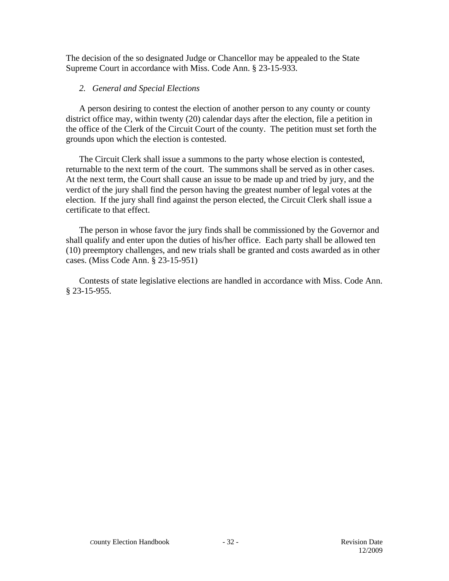The decision of the so designated Judge or Chancellor may be appealed to the State Supreme Court in accordance with Miss. Code Ann. § 23-15-933.

#### *2. General and Special Elections*

A person desiring to contest the election of another person to any county or county district office may, within twenty (20) calendar days after the election, file a petition in the office of the Clerk of the Circuit Court of the county. The petition must set forth the grounds upon which the election is contested.

The Circuit Clerk shall issue a summons to the party whose election is contested, returnable to the next term of the court. The summons shall be served as in other cases. At the next term, the Court shall cause an issue to be made up and tried by jury, and the verdict of the jury shall find the person having the greatest number of legal votes at the election. If the jury shall find against the person elected, the Circuit Clerk shall issue a certificate to that effect.

The person in whose favor the jury finds shall be commissioned by the Governor and shall qualify and enter upon the duties of his/her office. Each party shall be allowed ten (10) preemptory challenges, and new trials shall be granted and costs awarded as in other cases. (Miss Code Ann. § 23-15-951)

Contests of state legislative elections are handled in accordance with Miss. Code Ann. § 23-15-955.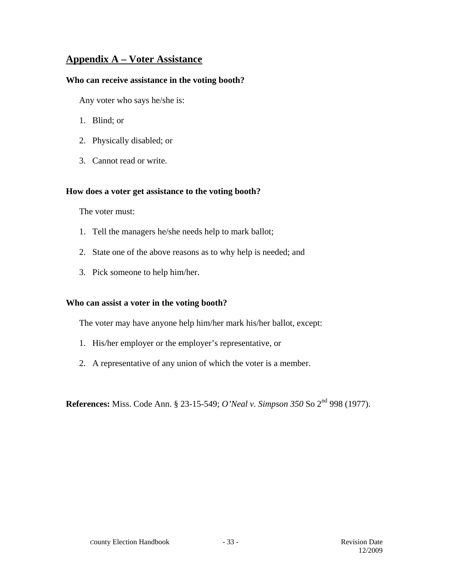# **Appendix A – Voter Assistance**

#### **Who can receive assistance in the voting booth?**

Any voter who says he/she is:

- 1. Blind; or
- 2. Physically disabled; or
- 3. Cannot read or write.

#### **How does a voter get assistance to the voting booth?**

The voter must:

- 1. Tell the managers he/she needs help to mark ballot;
- 2. State one of the above reasons as to why help is needed; and
- 3. Pick someone to help him/her.

#### **Who can assist a voter in the voting booth?**

The voter may have anyone help him/her mark his/her ballot, except:

- 1. His/her employer or the employer's representative, or
- 2. A representative of any union of which the voter is a member.

**References:** Miss. Code Ann. § 23-15-549; *O'Neal v. Simpson 350* So 2nd 998 (1977).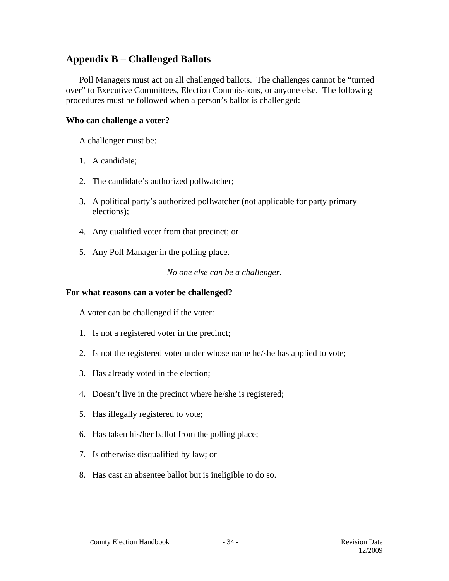# **Appendix B – Challenged Ballots**

Poll Managers must act on all challenged ballots. The challenges cannot be "turned over" to Executive Committees, Election Commissions, or anyone else. The following procedures must be followed when a person's ballot is challenged:

#### **Who can challenge a voter?**

A challenger must be:

- 1. A candidate;
- 2. The candidate's authorized pollwatcher;
- 3. A political party's authorized pollwatcher (not applicable for party primary elections);
- 4. Any qualified voter from that precinct; or
- 5. Any Poll Manager in the polling place.

*No one else can be a challenger.* 

#### **For what reasons can a voter be challenged?**

A voter can be challenged if the voter:

- 1. Is not a registered voter in the precinct;
- 2. Is not the registered voter under whose name he/she has applied to vote;
- 3. Has already voted in the election;
- 4. Doesn't live in the precinct where he/she is registered;
- 5. Has illegally registered to vote;
- 6. Has taken his/her ballot from the polling place;
- 7. Is otherwise disqualified by law; or
- 8. Has cast an absentee ballot but is ineligible to do so.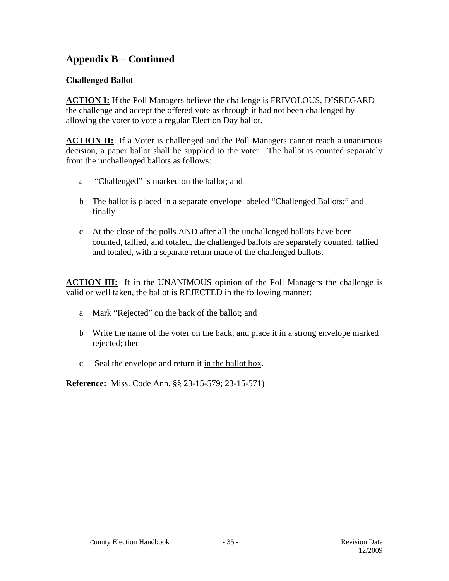# **Appendix B – Continued**

# **Challenged Ballot**

**ACTION I:** If the Poll Managers believe the challenge is FRIVOLOUS, DISREGARD the challenge and accept the offered vote as through it had not been challenged by allowing the voter to vote a regular Election Day ballot.

**ACTION II:** If a Voter is challenged and the Poll Managers cannot reach a unanimous decision, a paper ballot shall be supplied to the voter. The ballot is counted separately from the unchallenged ballots as follows:

- a "Challenged" is marked on the ballot; and
- b The ballot is placed in a separate envelope labeled "Challenged Ballots;" and finally
- c At the close of the polls AND after all the unchallenged ballots have been counted, tallied, and totaled, the challenged ballots are separately counted, tallied and totaled, with a separate return made of the challenged ballots.

**ACTION III:** If in the UNANIMOUS opinion of the Poll Managers the challenge is valid or well taken, the ballot is REJECTED in the following manner:

- a Mark "Rejected" on the back of the ballot; and
- b Write the name of the voter on the back, and place it in a strong envelope marked rejected; then
- c Seal the envelope and return it in the ballot box.

**Reference:** Miss. Code Ann. §§ 23-15-579; 23-15-571)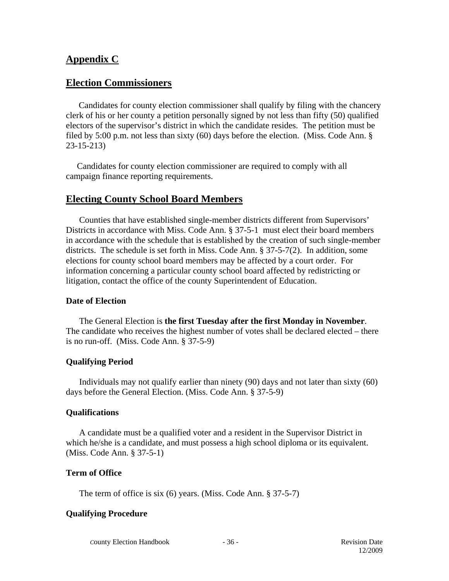# **Appendix C**

#### **Election Commissioners**

Candidates for county election commissioner shall qualify by filing with the chancery clerk of his or her county a petition personally signed by not less than fifty (50) qualified electors of the supervisor's district in which the candidate resides. The petition must be filed by 5:00 p.m. not less than sixty (60) days before the election. (Miss. Code Ann. § 23-15-213)

 Candidates for county election commissioner are required to comply with all campaign finance reporting requirements.

# **Electing County School Board Members**

 Counties that have established single-member districts different from Supervisors' Districts in accordance with Miss. Code Ann. § 37-5-1 must elect their board members in accordance with the schedule that is established by the creation of such single-member districts. The schedule is set forth in Miss. Code Ann. § 37-5-7(2). In addition, some elections for county school board members may be affected by a court order. For information concerning a particular county school board affected by redistricting or litigation, contact the office of the county Superintendent of Education.

#### **Date of Election**

 The General Election is **the first Tuesday after the first Monday in November**. The candidate who receives the highest number of votes shall be declared elected – there is no run-off. (Miss. Code Ann. § 37-5-9)

#### **Qualifying Period**

 Individuals may not qualify earlier than ninety (90) days and not later than sixty (60) days before the General Election. (Miss. Code Ann. § 37-5-9)

#### **Qualifications**

 A candidate must be a qualified voter and a resident in the Supervisor District in which he/she is a candidate, and must possess a high school diploma or its equivalent. (Miss. Code Ann. § 37-5-1)

#### **Term of Office**

The term of office is six (6) years. (Miss. Code Ann. § 37-5-7)

#### **Qualifying Procedure**

*C*ounty Election Handbook - 36 - Revision Date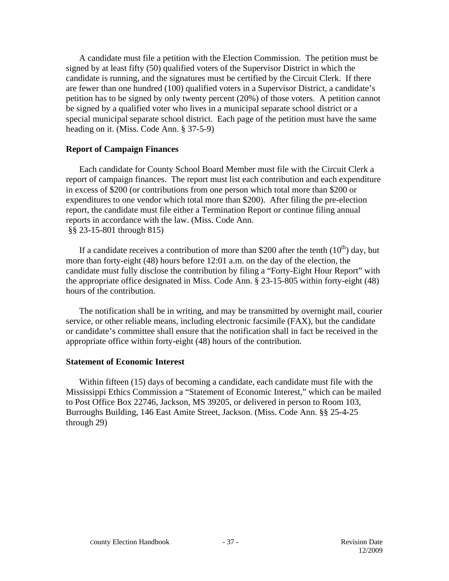A candidate must file a petition with the Election Commission. The petition must be signed by at least fifty (50) qualified voters of the Supervisor District in which the candidate is running, and the signatures must be certified by the Circuit Clerk. If there are fewer than one hundred (100) qualified voters in a Supervisor District, a candidate's petition has to be signed by only twenty percent (20%) of those voters. A petition cannot be signed by a qualified voter who lives in a municipal separate school district or a special municipal separate school district. Each page of the petition must have the same heading on it. (Miss. Code Ann. § 37-5-9)

#### **Report of Campaign Finances**

 Each candidate for County School Board Member must file with the Circuit Clerk a report of campaign finances. The report must list each contribution and each expenditure in excess of \$200 (or contributions from one person which total more than \$200 or expenditures to one vendor which total more than \$200). After filing the pre-election report, the candidate must file either a Termination Report or continue filing annual reports in accordance with the law. (Miss. Code Ann. §§ 23-15-801 through 815)

If a candidate receives a contribution of more than \$200 after the tenth  $(10<sup>th</sup>)$  day, but more than forty-eight (48) hours before 12:01 a.m. on the day of the election, the candidate must fully disclose the contribution by filing a "Forty-Eight Hour Report" with the appropriate office designated in Miss. Code Ann. § 23-15-805 within forty-eight (48) hours of the contribution.

 The notification shall be in writing, and may be transmitted by overnight mail, courier service, or other reliable means, including electronic facsimile (FAX), but the candidate or candidate's committee shall ensure that the notification shall in fact be received in the appropriate office within forty-eight (48) hours of the contribution.

#### **Statement of Economic Interest**

 Within fifteen (15) days of becoming a candidate, each candidate must file with the Mississippi Ethics Commission a "Statement of Economic Interest," which can be mailed to Post Office Box 22746, Jackson, MS 39205, or delivered in person to Room 103, Burroughs Building, 146 East Amite Street, Jackson. (Miss. Code Ann. §§ 25-4-25 through 29)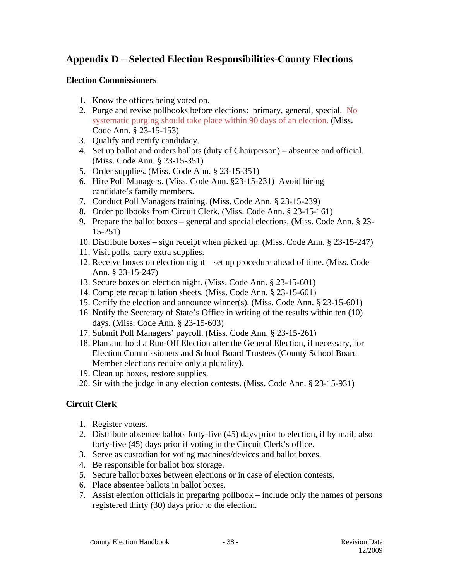# **Appendix D – Selected Election Responsibilities-County Elections**

#### **Election Commissioners**

- 1. Know the offices being voted on.
- 2. Purge and revise pollbooks before elections: primary, general, special. No systematic purging should take place within 90 days of an election. (Miss. Code Ann. § 23-15-153)
- 3. Qualify and certify candidacy.
- 4. Set up ballot and orders ballots (duty of Chairperson) absentee and official. (Miss. Code Ann. § 23-15-351)
- 5. Order supplies. (Miss. Code Ann. § 23-15-351)
- 6. Hire Poll Managers. (Miss. Code Ann. §23-15-231) Avoid hiring candidate's family members.
- 7. Conduct Poll Managers training. (Miss. Code Ann. § 23-15-239)
- 8. Order pollbooks from Circuit Clerk. (Miss. Code Ann. § 23-15-161)
- 9. Prepare the ballot boxes general and special elections. (Miss. Code Ann. § 23- 15-251)
- 10. Distribute boxes sign receipt when picked up. (Miss. Code Ann. § 23-15-247)
- 11. Visit polls, carry extra supplies.
- 12. Receive boxes on election night set up procedure ahead of time. (Miss. Code Ann. § 23-15-247)
- 13. Secure boxes on election night. (Miss. Code Ann. § 23-15-601)
- 14. Complete recapitulation sheets. (Miss. Code Ann. § 23-15-601)
- 15. Certify the election and announce winner(s). (Miss. Code Ann. § 23-15-601)
- 16. Notify the Secretary of State's Office in writing of the results within ten (10) days. (Miss. Code Ann. § 23-15-603)
- 17. Submit Poll Managers' payroll. (Miss. Code Ann. § 23-15-261)
- 18. Plan and hold a Run-Off Election after the General Election, if necessary, for Election Commissioners and School Board Trustees (County School Board Member elections require only a plurality).
- 19. Clean up boxes, restore supplies.
- 20. Sit with the judge in any election contests. (Miss. Code Ann. § 23-15-931)

# **Circuit Clerk**

- 1. Register voters.
- 2. Distribute absentee ballots forty-five (45) days prior to election, if by mail; also forty-five (45) days prior if voting in the Circuit Clerk's office.
- 3. Serve as custodian for voting machines/devices and ballot boxes.
- 4. Be responsible for ballot box storage.
- 5. Secure ballot boxes between elections or in case of election contests.
- 6. Place absentee ballots in ballot boxes.
- 7. Assist election officials in preparing pollbook include only the names of persons registered thirty (30) days prior to the election.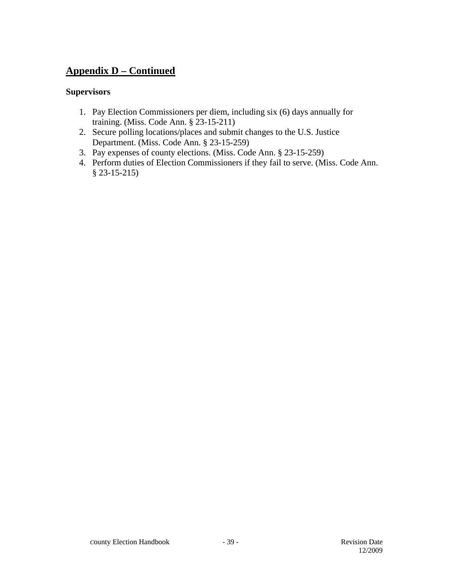# **Appendix D – Continued**

# **Supervisors**

- 1. Pay Election Commissioners per diem, including six (6) days annually for training. (Miss. Code Ann. § 23-15-211)
- 2. Secure polling locations/places and submit changes to the U.S. Justice Department. (Miss. Code Ann. § 23-15-259)
- 3. Pay expenses of county elections. (Miss. Code Ann. § 23-15-259)
- 4. Perform duties of Election Commissioners if they fail to serve. (Miss. Code Ann. § 23-15-215)